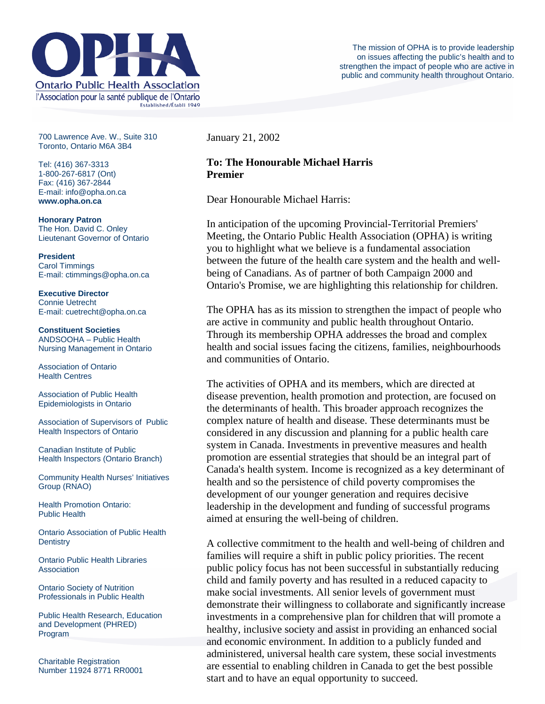

700 Lawrence Ave. W., Suite 310 Toronto, Ontario M6A 3B4

Tel: (416) 367-3313 1-800-267-6817 (Ont) Fax: (416) 367-2844 E-mail: info@opha.on.ca **www.opha.on.ca** 

**Honorary Patron**  The Hon. David C. Onley Lieutenant Governor of Ontario

**President**  Carol Timmings E-mail: ctimmings@opha.on.ca

**Executive Director**  Connie Uetrecht E-mail: cuetrecht@opha.on.ca

**Constituent Societies**  ANDSOOHA – Public Health Nursing Management in Ontario

Association of Ontario Health Centres

Association of Public Health Epidemiologists in Ontario

Association of Supervisors of Public Health Inspectors of Ontario

Canadian Institute of Public Health Inspectors (Ontario Branch)

Community Health Nurses' Initiatives Group (RNAO)

Health Promotion Ontario: Public Health

Ontario Association of Public Health **Dentistry** 

Ontario Public Health Libraries **Association** 

Ontario Society of Nutrition Professionals in Public Health

Public Health Research, Education and Development (PHRED) Program

Charitable Registration Number 11924 8771 RR0001 January 21, 2002

## **To: The Honourable Michael Harris Premier**

Dear Honourable Michael Harris:

In anticipation of the upcoming Provincial-Territorial Premiers' Meeting, the Ontario Public Health Association (OPHA) is writing you to highlight what we believe is a fundamental association between the future of the health care system and the health and wellbeing of Canadians. As of partner of both Campaign 2000 and Ontario's Promise, we are highlighting this relationship for children.

The OPHA has as its mission to strengthen the impact of people who are active in community and public health throughout Ontario. Through its membership OPHA addresses the broad and complex health and social issues facing the citizens, families, neighbourhoods and communities of Ontario.

The activities of OPHA and its members, which are directed at disease prevention, health promotion and protection, are focused on the determinants of health. This broader approach recognizes the complex nature of health and disease. These determinants must be considered in any discussion and planning for a public health care system in Canada. Investments in preventive measures and health promotion are essential strategies that should be an integral part of Canada's health system. Income is recognized as a key determinant of health and so the persistence of child poverty compromises the development of our younger generation and requires decisive leadership in the development and funding of successful programs aimed at ensuring the well-being of children.

A collective commitment to the health and well-being of children and families will require a shift in public policy priorities. The recent public policy focus has not been successful in substantially reducing child and family poverty and has resulted in a reduced capacity to make social investments. All senior levels of government must demonstrate their willingness to collaborate and significantly increase investments in a comprehensive plan for children that will promote a healthy, inclusive society and assist in providing an enhanced social and economic environment. In addition to a publicly funded and administered, universal health care system, these social investments are essential to enabling children in Canada to get the best possible start and to have an equal opportunity to succeed.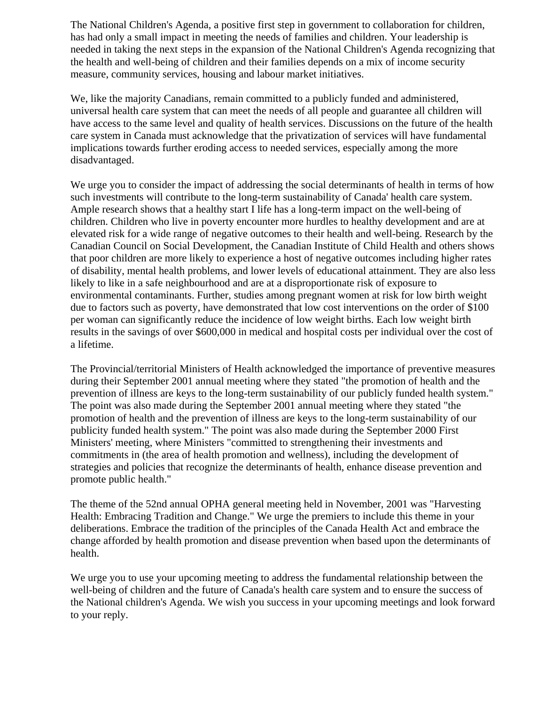The National Children's Agenda, a positive first step in government to collaboration for children, has had only a small impact in meeting the needs of families and children. Your leadership is needed in taking the next steps in the expansion of the National Children's Agenda recognizing that the health and well-being of children and their families depends on a mix of income security measure, community services, housing and labour market initiatives.

We, like the majority Canadians, remain committed to a publicly funded and administered, universal health care system that can meet the needs of all people and guarantee all children will have access to the same level and quality of health services. Discussions on the future of the health care system in Canada must acknowledge that the privatization of services will have fundamental implications towards further eroding access to needed services, especially among the more disadvantaged.

We urge you to consider the impact of addressing the social determinants of health in terms of how such investments will contribute to the long-term sustainability of Canada' health care system. Ample research shows that a healthy start I life has a long-term impact on the well-being of children. Children who live in poverty encounter more hurdles to healthy development and are at elevated risk for a wide range of negative outcomes to their health and well-being. Research by the Canadian Council on Social Development, the Canadian Institute of Child Health and others shows that poor children are more likely to experience a host of negative outcomes including higher rates of disability, mental health problems, and lower levels of educational attainment. They are also less likely to like in a safe neighbourhood and are at a disproportionate risk of exposure to environmental contaminants. Further, studies among pregnant women at risk for low birth weight due to factors such as poverty, have demonstrated that low cost interventions on the order of \$100 per woman can significantly reduce the incidence of low weight births. Each low weight birth results in the savings of over \$600,000 in medical and hospital costs per individual over the cost of a lifetime.

The Provincial/territorial Ministers of Health acknowledged the importance of preventive measures during their September 2001 annual meeting where they stated "the promotion of health and the prevention of illness are keys to the long-term sustainability of our publicly funded health system." The point was also made during the September 2001 annual meeting where they stated "the promotion of health and the prevention of illness are keys to the long-term sustainability of our publicity funded health system." The point was also made during the September 2000 First Ministers' meeting, where Ministers "committed to strengthening their investments and commitments in (the area of health promotion and wellness), including the development of strategies and policies that recognize the determinants of health, enhance disease prevention and promote public health."

The theme of the 52nd annual OPHA general meeting held in November, 2001 was "Harvesting Health: Embracing Tradition and Change." We urge the premiers to include this theme in your deliberations. Embrace the tradition of the principles of the Canada Health Act and embrace the change afforded by health promotion and disease prevention when based upon the determinants of health.

We urge you to use your upcoming meeting to address the fundamental relationship between the well-being of children and the future of Canada's health care system and to ensure the success of the National children's Agenda. We wish you success in your upcoming meetings and look forward to your reply.